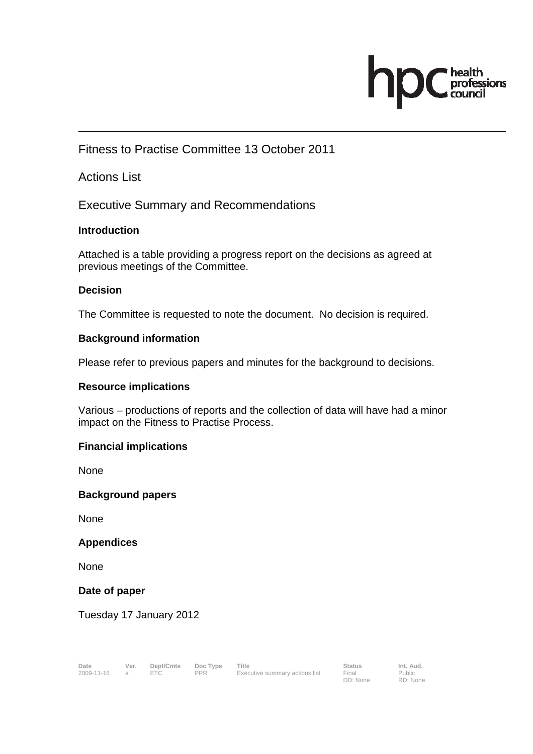# $\sum_{\text{council}}^{\text{health}}$ hp

## Fitness to Practise Committee 13 October 2011

### Actions List

Executive Summary and Recommendations

#### **Introduction**

Attached is a table providing a progress report on the decisions as agreed at previous meetings of the Committee.

#### **Decision**

The Committee is requested to note the document. No decision is required.

#### **Background information**

Please refer to previous papers and minutes for the background to decisions.

#### **Resource implications**

Various – productions of reports and the collection of data will have had a minor impact on the Fitness to Practise Process.

#### **Financial implications**

**None** 

#### **Background papers**

None

#### **Appendices**

None

#### **Date of paper**

Tuesday 17 January 2012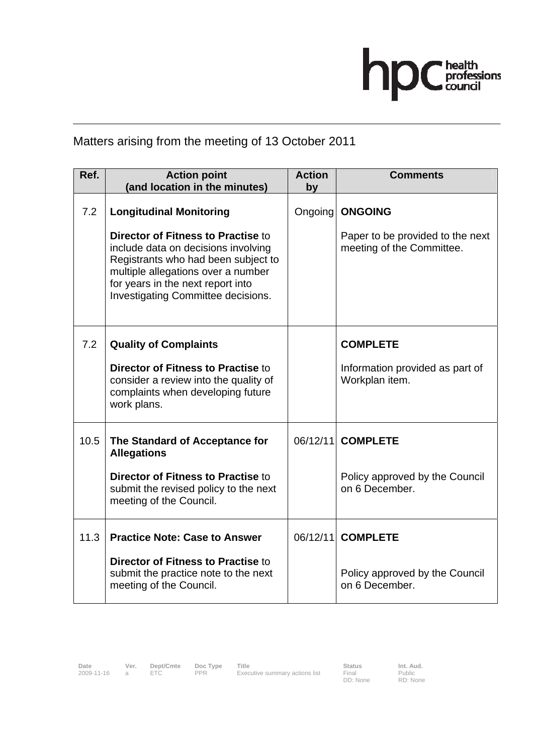

## Matters arising from the meeting of 13 October 2011

| Ref. | <b>Action point</b><br>(and location in the minutes)                                                                                                                                                                              | <b>Action</b><br>by | <b>Comments</b>                                               |
|------|-----------------------------------------------------------------------------------------------------------------------------------------------------------------------------------------------------------------------------------|---------------------|---------------------------------------------------------------|
|      |                                                                                                                                                                                                                                   |                     |                                                               |
| 7.2  | <b>Longitudinal Monitoring</b>                                                                                                                                                                                                    | Ongoing             | <b>ONGOING</b>                                                |
|      | Director of Fitness to Practise to<br>include data on decisions involving<br>Registrants who had been subject to<br>multiple allegations over a number<br>for years in the next report into<br>Investigating Committee decisions. |                     | Paper to be provided to the next<br>meeting of the Committee. |
| 7.2  | <b>Quality of Complaints</b>                                                                                                                                                                                                      |                     | <b>COMPLETE</b>                                               |
|      | Director of Fitness to Practise to<br>consider a review into the quality of<br>complaints when developing future<br>work plans.                                                                                                   |                     | Information provided as part of<br>Workplan item.             |
| 10.5 | The Standard of Acceptance for<br><b>Allegations</b>                                                                                                                                                                              | 06/12/11            | <b>COMPLETE</b>                                               |
|      | Director of Fitness to Practise to<br>submit the revised policy to the next<br>meeting of the Council.                                                                                                                            |                     | Policy approved by the Council<br>on 6 December.              |
| 11.3 | <b>Practice Note: Case to Answer</b>                                                                                                                                                                                              | 06/12/11            | <b>COMPLETE</b>                                               |
|      | <b>Director of Fitness to Practise to</b><br>submit the practice note to the next<br>meeting of the Council.                                                                                                                      |                     | Policy approved by the Council<br>on 6 December.              |

Final<br>DD: None

Public RD: None